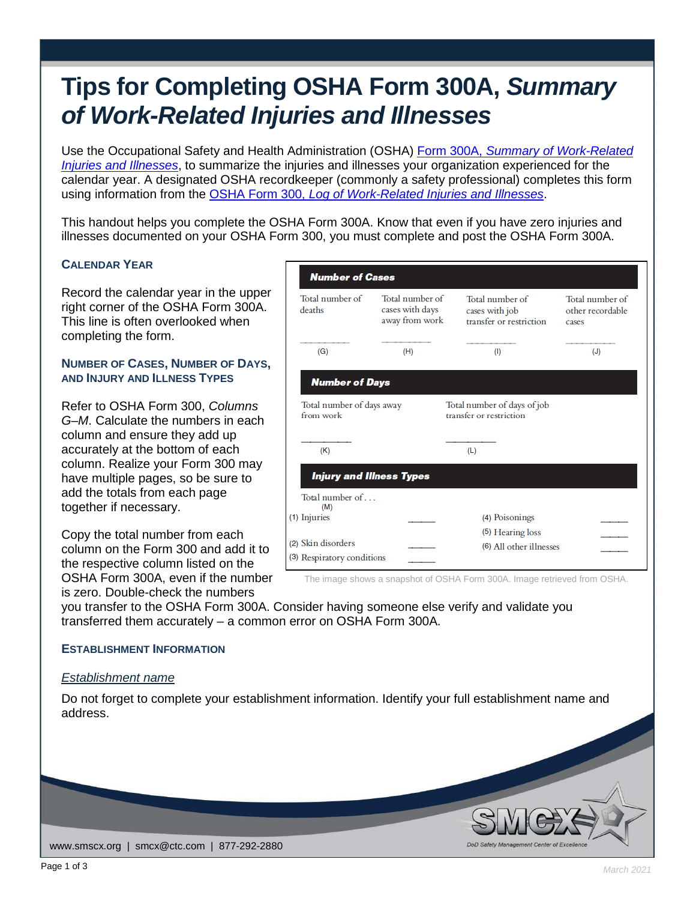# **Tips for Completing OSHA Form 300A,** *Summary of Work-Related Injuries and Illnesses*

Use the Occupational Safety and Health Administration (OSHA) Form 300A, *[Summary of Work-Related](https://www.osha.gov/recordkeeping/RKforms.html)  [Injuries and Illnesses](https://www.osha.gov/recordkeeping/RKforms.html)*, to summarize the injuries and illnesses your organization experienced for the calendar year. A designated OSHA recordkeeper (commonly a safety professional) completes this form using information from the OSHA Form 300, *[Log of Work-Related Injuries and Illnesses](https://www.osha.gov/recordkeeping/RKforms.html)*.

This handout helps you complete the OSHA Form 300A. Know that even if you have zero injuries and illnesses documented on your OSHA Form 300, you must complete and post the OSHA Form 300A.

### **CALENDAR YEAR**

Record the calendar year in the upper right corner of the OSHA Form 300A. This line is often overlooked when completing the form.

#### **NUMBER OF CASES, NUMBER OF DAYS, AND INJURY AND ILLNESS TYPES**

Refer to OSHA Form 300, *Columns G–M*. Calculate the numbers in each column and ensure they add up accurately at the bottom of each column. Realize your Form 300 may have multiple pages, so be sure to add the totals from each page together if necessary.

Copy the total number from each column on the Form 300 and add it to the respective column listed on the OSHA Form 300A, even if the number is zero. Double-check the numbers

| <b>Number of Cases</b>                 |                                                      |                                                              |                                              |
|----------------------------------------|------------------------------------------------------|--------------------------------------------------------------|----------------------------------------------|
| Total number of<br>deaths              | Total number of<br>cases with days<br>away from work | Total number of<br>cases with job<br>transfer or restriction | Total number of<br>other recordable<br>cases |
| (G)                                    | (H)                                                  | (1)                                                          | (J)                                          |
| <b>Number of Days</b>                  |                                                      |                                                              |                                              |
| Total number of days away<br>from work |                                                      | Total number of days of job<br>transfer or restriction       |                                              |
| (K)                                    |                                                      | (L)                                                          |                                              |
| <b>Injury and Illness Types</b>        |                                                      |                                                              |                                              |
| Total number of<br>(M)                 |                                                      |                                                              |                                              |
| (1) Injuries                           |                                                      | (4) Poisonings<br>(5) Hearing loss                           |                                              |
| (2) Skin disorders                     |                                                      | (6) All other illnesses                                      |                                              |
| (3) Respiratory conditions             |                                                      |                                                              |                                              |

The image shows a snapshot of OSHA Form 300A. Image retrieved from OSHA.

you transfer to the OSHA Form 300A. Consider having someone else verify and validate you transferred them accurately – a common error on OSHA Form 300A.

#### **ESTABLISHMENT INFORMATION**

#### *Establishment name*

Do not forget to complete your establishment information. Identify your full establishment name and address.

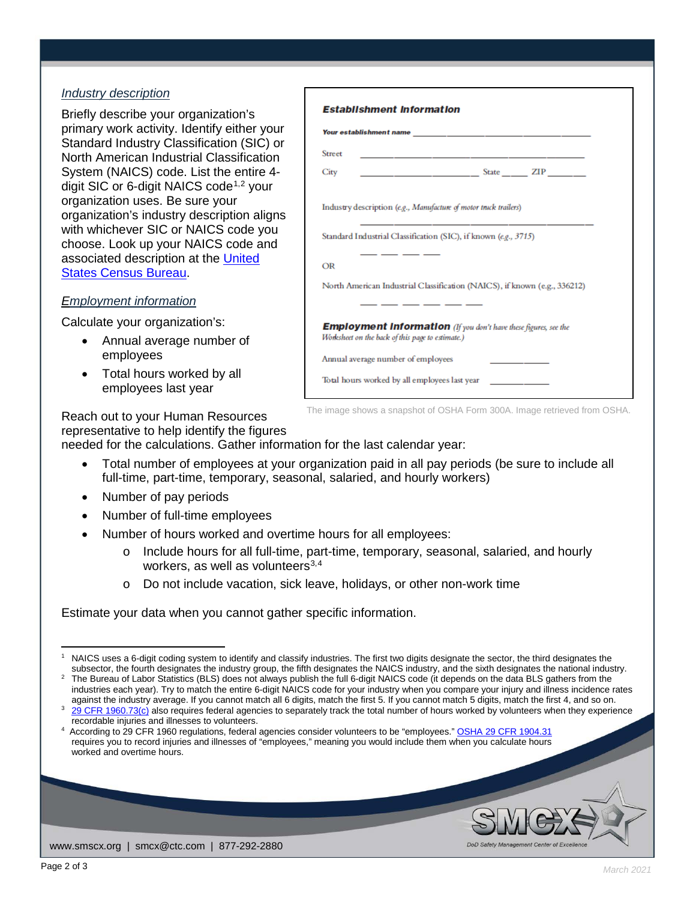## *Industry description*

Briefly describe your organization's primary work activity. Identify either your Standard Industry Classification (SIC) or North American Industrial Classification System (NAICS) code. List the entire 4- digit SIC or 6-digit NAICS code<sup>[1](#page-1-0),[2](#page-1-1)</sup> your organization uses. Be sure your organization's industry description aligns with whichever SIC or NAICS code you choose. Look up your NAICS code and associated description at the [United](https://www.census.gov/naics/)  [States Census Bureau.](https://www.census.gov/naics/)

### *Employment information*

Calculate your organization's:

- Annual average number of employees
- Total hours worked by all employees last year

| <b>Street</b>                                                    | <u> 1980 - Johann John Stone, mars eta biztanleria (</u>                                                           |
|------------------------------------------------------------------|--------------------------------------------------------------------------------------------------------------------|
| City                                                             |                                                                                                                    |
| Industry description (e.g., Manufacture of motor truck trailers) |                                                                                                                    |
|                                                                  | <u> 1990 - Johann John Stone, mars et al. (</u><br>Standard Industrial Classification (SIC), if known (e.g., 3715) |
| OR                                                               |                                                                                                                    |
|                                                                  | North American Industrial Classification (NAICS), if known (e.g., 336212)                                          |
| Worksheet on the back of this page to estimate.)                 | . __ __ __ _<br><b>Employment Information</b> (If you don't have these figures, see the                            |
| Annual average number of employees                               |                                                                                                                    |
| Total hours worked by all employees last year                    |                                                                                                                    |

The image shows a snapshot of OSHA Form 300A. Image retrieved from OSHA.

Reach out to your Human Resources representative to help identify the figures

needed for the calculations. Gather information for the last calendar year:

- Total number of employees at your organization paid in all pay periods (be sure to include all full-time, part-time, temporary, seasonal, salaried, and hourly workers)
- Number of pay periods
- Number of full-time employees
- Number of hours worked and overtime hours for all employees:
	- o Include hours for all full-time, part-time, temporary, seasonal, salaried, and hourly workers, as well as volunteers $3,4$  $3,4$  $3,4$
	- o Do not include vacation, sick leave, holidays, or other non-work time

Estimate your data when you cannot gather specific information.

www.smscx.org | smcx@ctc.com | 877-292-2880

<span id="page-1-0"></span>l NAICS uses a 6-digit coding system to identify and classify industries. The first two digits designate the sector, the third designates the subsector, the fourth designates the industry group, the fifth designates the NAICS industry, and the sixth designates the national industry. <sup>2</sup> The Bureau of Labor Statistics (BLS) does not always publish the full 6-digit NAICS code (it depends on the data BLS gathers from the

<span id="page-1-1"></span>industries each year). Try to match the entire 6-digit NAICS code for your industry when you compare your injury and illness incidence rates against the industry average. If you cannot match all 6 digits, match the first 5. If you cannot match 5 digits, match the first 4, and so on. [29 CFR 1960.73\(c\)](https://www.osha.gov/pls/oshaweb/owadisp.show_document?p_table=STANDARDS&p_id=11307) also requires federal agencies to separately track the total number of hours worked by volunteers when they experience

recordable injuries and illnesses to volunteers. 4

<span id="page-1-3"></span><span id="page-1-2"></span>According to 29 CFR 1960 regulations, federal agencies consider volunteers to be "employees.[" OSHA 29 CFR 1904.31](https://www.osha.gov/laws-regs/regulations/standardnumber/1904/1904.31) requires you to record injuries and illnesses of "employees," meaning you would include them when you calculate hours worked and overtime hours.